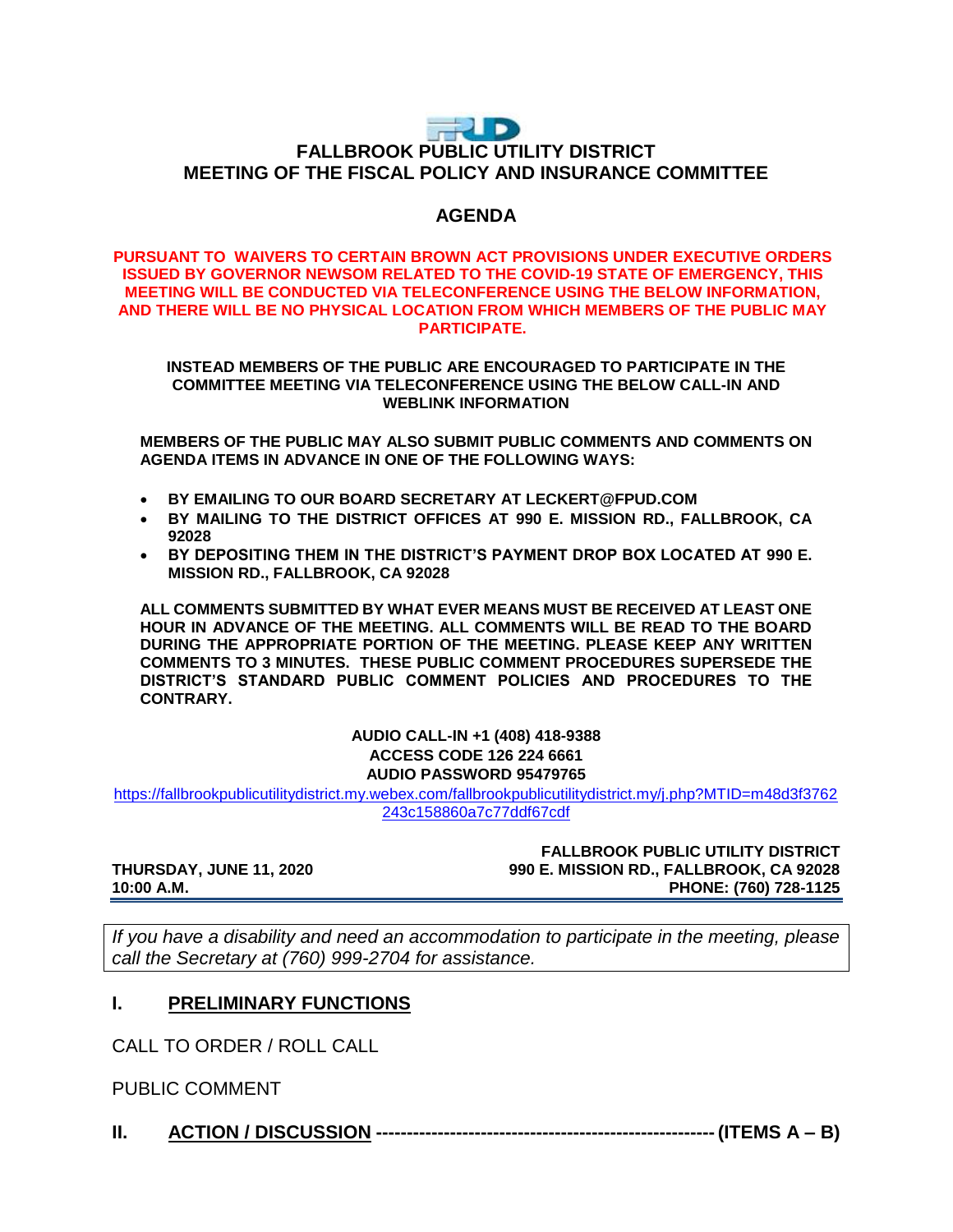# FUD **FALLBROOK PUBLIC UTILITY DISTRICT MEETING OF THE FISCAL POLICY AND INSURANCE COMMITTEE**

# **AGENDA**

#### **PURSUANT TO WAIVERS TO CERTAIN BROWN ACT PROVISIONS UNDER EXECUTIVE ORDERS ISSUED BY GOVERNOR NEWSOM RELATED TO THE COVID-19 STATE OF EMERGENCY, THIS MEETING WILL BE CONDUCTED VIA TELECONFERENCE USING THE BELOW INFORMATION, AND THERE WILL BE NO PHYSICAL LOCATION FROM WHICH MEMBERS OF THE PUBLIC MAY PARTICIPATE.**

#### **INSTEAD MEMBERS OF THE PUBLIC ARE ENCOURAGED TO PARTICIPATE IN THE COMMITTEE MEETING VIA TELECONFERENCE USING THE BELOW CALL-IN AND WEBLINK INFORMATION**

**MEMBERS OF THE PUBLIC MAY ALSO SUBMIT PUBLIC COMMENTS AND COMMENTS ON AGENDA ITEMS IN ADVANCE IN ONE OF THE FOLLOWING WAYS:**

- **BY EMAILING TO OUR BOARD SECRETARY AT LECKERT@FPUD.COM**
- **BY MAILING TO THE DISTRICT OFFICES AT 990 E. MISSION RD., FALLBROOK, CA 92028**
- **BY DEPOSITING THEM IN THE DISTRICT'S PAYMENT DROP BOX LOCATED AT 990 E. MISSION RD., FALLBROOK, CA 92028**

**ALL COMMENTS SUBMITTED BY WHAT EVER MEANS MUST BE RECEIVED AT LEAST ONE HOUR IN ADVANCE OF THE MEETING. ALL COMMENTS WILL BE READ TO THE BOARD DURING THE APPROPRIATE PORTION OF THE MEETING. PLEASE KEEP ANY WRITTEN COMMENTS TO 3 MINUTES. THESE PUBLIC COMMENT PROCEDURES SUPERSEDE THE DISTRICT'S STANDARD PUBLIC COMMENT POLICIES AND PROCEDURES TO THE CONTRARY.**

### **AUDIO CALL-IN +1 (408) 418-9388 ACCESS CODE 126 224 6661 AUDIO PASSWORD 95479765**

[https://fallbrookpublicutilitydistrict.my.webex.com/fallbrookpublicutilitydistrict.my/j.php?MTID=m48d3f3762](https://fallbrookpublicutilitydistrict.my.webex.com/fallbrookpublicutilitydistrict.my/j.php?MTID=m48d3f3762243c158860a7c77ddf67cdf) [243c158860a7c77ddf67cdf](https://fallbrookpublicutilitydistrict.my.webex.com/fallbrookpublicutilitydistrict.my/j.php?MTID=m48d3f3762243c158860a7c77ddf67cdf)

#### **FALLBROOK PUBLIC UTILITY DISTRICT THURSDAY, JUNE 11, 2020 990 E. MISSION RD., FALLBROOK, CA 92028 10:00 A.M. PHONE: (760) 728-1125**

*If you have a disability and need an accommodation to participate in the meeting, please call the Secretary at (760) 999-2704 for assistance.* 

## **I. PRELIMINARY FUNCTIONS**

CALL TO ORDER / ROLL CALL

PUBLIC COMMENT

**II. ACTION / DISCUSSION -------------------------------------------------------(ITEMS A – B)**